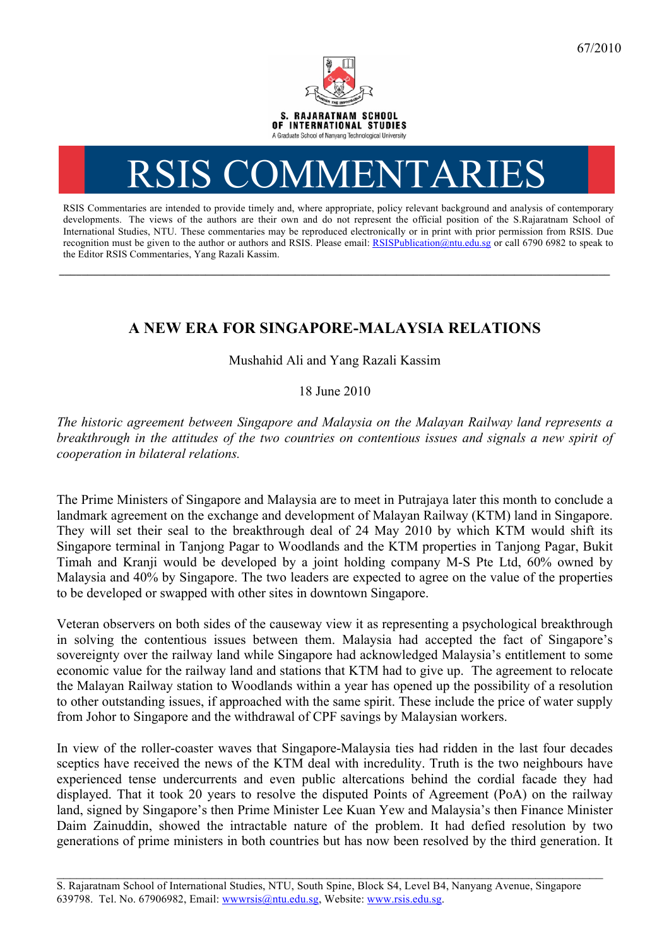

## RSIS COMMENTARI

RSIS Commentaries are intended to provide timely and, where appropriate, policy relevant background and analysis of contemporary developments. The views of the authors are their own and do not represent the official position of the S.Rajaratnam School of International Studies, NTU. These commentaries may be reproduced electronically or in print with prior permission from RSIS. Due recognition must be given to the author or authors and RSIS. Please email: RSISPublication@ntu.edu.sg or call 6790 6982 to speak to the Editor RSIS Commentaries, Yang Razali Kassim.

## **A NEW ERA FOR SINGAPORE-MALAYSIA RELATIONS**

**\_\_\_\_\_\_\_\_\_\_\_\_\_\_\_\_\_\_\_\_\_\_\_\_\_\_\_\_\_\_\_\_\_\_\_\_\_\_\_\_\_\_\_\_\_\_\_\_\_\_\_\_\_\_\_\_\_\_\_\_\_\_\_\_\_\_\_\_\_\_\_\_\_\_\_\_\_\_\_\_\_\_\_\_\_\_\_\_\_\_\_\_\_\_\_\_\_\_**

Mushahid Ali and Yang Razali Kassim

18 June 2010

*The historic agreement between Singapore and Malaysia on the Malayan Railway land represents a breakthrough in the attitudes of the two countries on contentious issues and signals a new spirit of cooperation in bilateral relations.*

The Prime Ministers of Singapore and Malaysia are to meet in Putrajaya later this month to conclude a landmark agreement on the exchange and development of Malayan Railway (KTM) land in Singapore. They will set their seal to the breakthrough deal of 24 May 2010 by which KTM would shift its Singapore terminal in Tanjong Pagar to Woodlands and the KTM properties in Tanjong Pagar, Bukit Timah and Kranji would be developed by a joint holding company M-S Pte Ltd, 60% owned by Malaysia and 40% by Singapore. The two leaders are expected to agree on the value of the properties to be developed or swapped with other sites in downtown Singapore.

Veteran observers on both sides of the causeway view it as representing a psychological breakthrough in solving the contentious issues between them. Malaysia had accepted the fact of Singapore's sovereignty over the railway land while Singapore had acknowledged Malaysia's entitlement to some economic value for the railway land and stations that KTM had to give up. The agreement to relocate the Malayan Railway station to Woodlands within a year has opened up the possibility of a resolution to other outstanding issues, if approached with the same spirit. These include the price of water supply from Johor to Singapore and the withdrawal of CPF savings by Malaysian workers.

In view of the roller-coaster waves that Singapore-Malaysia ties had ridden in the last four decades sceptics have received the news of the KTM deal with incredulity. Truth is the two neighbours have experienced tense undercurrents and even public altercations behind the cordial facade they had displayed. That it took 20 years to resolve the disputed Points of Agreement (PoA) on the railway land, signed by Singapore's then Prime Minister Lee Kuan Yew and Malaysia's then Finance Minister Daim Zainuddin, showed the intractable nature of the problem. It had defied resolution by two generations of prime ministers in both countries but has now been resolved by the third generation. It